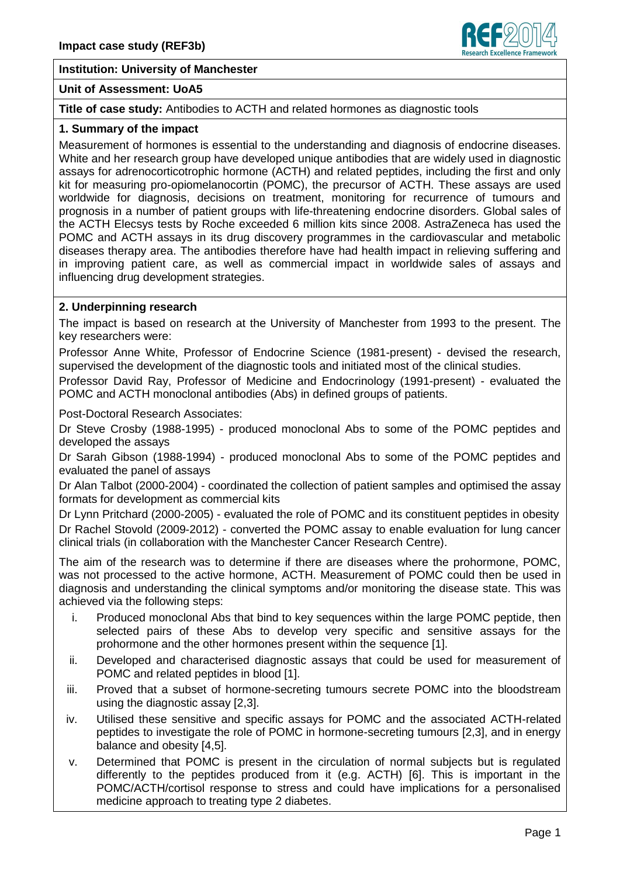#### **Institution: University of Manchester**

#### **Unit of Assessment: UoA5**

## **Title of case study:** Antibodies to ACTH and related hormones as diagnostic tools

#### **1. Summary of the impact**

Measurement of hormones is essential to the understanding and diagnosis of endocrine diseases. White and her research group have developed unique antibodies that are widely used in diagnostic assays for adrenocorticotrophic hormone (ACTH) and related peptides, including the first and only kit for measuring pro-opiomelanocortin (POMC), the precursor of ACTH. These assays are used worldwide for diagnosis, decisions on treatment, monitoring for recurrence of tumours and prognosis in a number of patient groups with life-threatening endocrine disorders. Global sales of the ACTH Elecsys tests by Roche exceeded 6 million kits since 2008. AstraZeneca has used the POMC and ACTH assays in its drug discovery programmes in the cardiovascular and metabolic diseases therapy area. The antibodies therefore have had health impact in relieving suffering and in improving patient care, as well as commercial impact in worldwide sales of assays and influencing drug development strategies.

#### **2. Underpinning research**

The impact is based on research at the University of Manchester from 1993 to the present. The key researchers were:

Professor Anne White, Professor of Endocrine Science (1981-present) - devised the research, supervised the development of the diagnostic tools and initiated most of the clinical studies.

Professor David Ray, Professor of Medicine and Endocrinology (1991-present) - evaluated the POMC and ACTH monoclonal antibodies (Abs) in defined groups of patients.

Post-Doctoral Research Associates:

Dr Steve Crosby (1988-1995) - produced monoclonal Abs to some of the POMC peptides and developed the assays

Dr Sarah Gibson (1988-1994) - produced monoclonal Abs to some of the POMC peptides and evaluated the panel of assays

Dr Alan Talbot (2000-2004) - coordinated the collection of patient samples and optimised the assay formats for development as commercial kits

Dr Lynn Pritchard (2000-2005) - evaluated the role of POMC and its constituent peptides in obesity Dr Rachel Stovold (2009-2012) - converted the POMC assay to enable evaluation for lung cancer clinical trials (in collaboration with the Manchester Cancer Research Centre).

The aim of the research was to determine if there are diseases where the prohormone, POMC, was not processed to the active hormone, ACTH. Measurement of POMC could then be used in diagnosis and understanding the clinical symptoms and/or monitoring the disease state. This was achieved via the following steps:

- i. Produced monoclonal Abs that bind to key sequences within the large POMC peptide, then selected pairs of these Abs to develop very specific and sensitive assays for the prohormone and the other hormones present within the sequence [1].
- ii. Developed and characterised diagnostic assays that could be used for measurement of POMC and related peptides in blood [1].
- iii. Proved that a subset of hormone-secreting tumours secrete POMC into the bloodstream using the diagnostic assay [2,3].
- iv. Utilised these sensitive and specific assays for POMC and the associated ACTH-related peptides to investigate the role of POMC in hormone-secreting tumours [2,3], and in energy balance and obesity [4,5].
- v. Determined that POMC is present in the circulation of normal subjects but is regulated differently to the peptides produced from it (e.g. ACTH) [6]. This is important in the POMC/ACTH/cortisol response to stress and could have implications for a personalised medicine approach to treating type 2 diabetes.

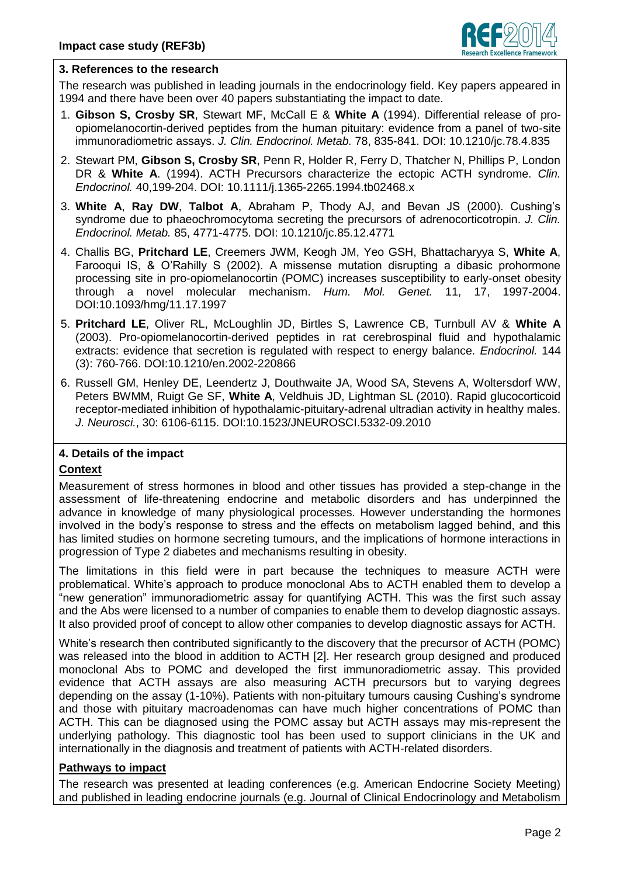

### **3. References to the research**

The research was published in leading journals in the endocrinology field. Key papers appeared in 1994 and there have been over 40 papers substantiating the impact to date.

- 1. **Gibson S, Crosby SR**, Stewart MF, McCall E & **White A** (1994). Differential release of proopiomelanocortin-derived peptides from the human pituitary: evidence from a panel of two-site immunoradiometric assays. *J. Clin. Endocrinol. Metab.* 78, 835-841. DOI: 10.1210/jc.78.4.835
- 2. Stewart PM, **Gibson S, Crosby SR**, Penn R, Holder R, Ferry D, Thatcher N, Phillips P, London DR & **White A**. (1994). ACTH Precursors characterize the ectopic ACTH syndrome. *Clin. Endocrinol.* 40,199-204. DOI: 10.1111/j.1365-2265.1994.tb02468.x
- 3. **White A**, **Ray DW**, **Talbot A**, Abraham P, Thody AJ, and Bevan JS (2000). Cushing's syndrome due to phaeochromocytoma secreting the precursors of adrenocorticotropin. *J. Clin. Endocrinol. Metab.* 85, 4771-4775. DOI: 10.1210/jc.85.12.4771
- 4. Challis BG, **Pritchard LE**, Creemers JWM, Keogh JM, Yeo GSH, Bhattacharyya S, **White A**, Farooqui IS, & O'Rahilly S (2002). A missense mutation disrupting a dibasic prohormone processing site in pro-opiomelanocortin (POMC) increases susceptibility to early-onset obesity through a novel molecular mechanism. *Hum. Mol. Genet.* 11, 17, 1997-2004. DOI:10.1093/hmg/11.17.1997
- 5. **Pritchard LE**, Oliver RL, McLoughlin JD, Birtles S, Lawrence CB, Turnbull AV & **White A** (2003). Pro-opiomelanocortin-derived peptides in rat cerebrospinal fluid and hypothalamic extracts: evidence that secretion is regulated with respect to energy balance. *Endocrinol.* 144 (3): 760-766. DOI:10.1210/en.2002-220866
- 6. Russell GM, Henley DE, Leendertz J, Douthwaite JA, Wood SA, Stevens A, Woltersdorf WW, Peters BWMM, Ruigt Ge SF, **White A**, Veldhuis JD, Lightman SL (2010). Rapid glucocorticoid receptor-mediated inhibition of hypothalamic-pituitary-adrenal ultradian activity in healthy males. *J. Neurosci.*, 30: 6106-6115. DOI:10.1523/JNEUROSCI.5332-09.2010

# **4. Details of the impact**

### **Context**

Measurement of stress hormones in blood and other tissues has provided a step-change in the assessment of life-threatening endocrine and metabolic disorders and has underpinned the advance in knowledge of many physiological processes. However understanding the hormones involved in the body's response to stress and the effects on metabolism lagged behind, and this has limited studies on hormone secreting tumours, and the implications of hormone interactions in progression of Type 2 diabetes and mechanisms resulting in obesity.

The limitations in this field were in part because the techniques to measure ACTH were problematical. White's approach to produce monoclonal Abs to ACTH enabled them to develop a "new generation" immunoradiometric assay for quantifying ACTH. This was the first such assay and the Abs were licensed to a number of companies to enable them to develop diagnostic assays. It also provided proof of concept to allow other companies to develop diagnostic assays for ACTH.

White's research then contributed significantly to the discovery that the precursor of ACTH (POMC) was released into the blood in addition to ACTH [2]. Her research group designed and produced monoclonal Abs to POMC and developed the first immunoradiometric assay. This provided evidence that ACTH assays are also measuring ACTH precursors but to varying degrees depending on the assay (1-10%). Patients with non-pituitary tumours causing Cushing's syndrome and those with pituitary macroadenomas can have much higher concentrations of POMC than ACTH. This can be diagnosed using the POMC assay but ACTH assays may mis-represent the underlying pathology. This diagnostic tool has been used to support clinicians in the UK and internationally in the diagnosis and treatment of patients with ACTH-related disorders.

#### **Pathways to impact**

The research was presented at leading conferences (e.g. American Endocrine Society Meeting) and published in leading endocrine journals (e.g. Journal of Clinical Endocrinology and Metabolism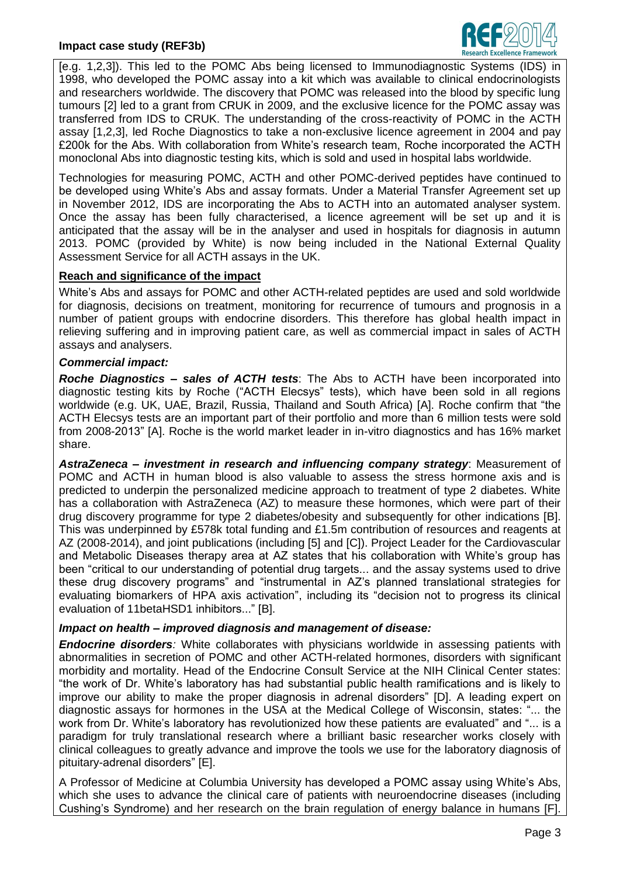

[e.g. 1,2,3]). This led to the POMC Abs being licensed to Immunodiagnostic Systems (IDS) in 1998, who developed the POMC assay into a kit which was available to clinical endocrinologists and researchers worldwide. The discovery that POMC was released into the blood by specific lung tumours [2] led to a grant from CRUK in 2009, and the exclusive licence for the POMC assay was transferred from IDS to CRUK. The understanding of the cross-reactivity of POMC in the ACTH assay [1,2,3], led Roche Diagnostics to take a non-exclusive licence agreement in 2004 and pay £200k for the Abs. With collaboration from White's research team, Roche incorporated the ACTH monoclonal Abs into diagnostic testing kits, which is sold and used in hospital labs worldwide.

Technologies for measuring POMC, ACTH and other POMC-derived peptides have continued to be developed using White's Abs and assay formats. Under a Material Transfer Agreement set up in November 2012, IDS are incorporating the Abs to ACTH into an automated analyser system. Once the assay has been fully characterised, a licence agreement will be set up and it is anticipated that the assay will be in the analyser and used in hospitals for diagnosis in autumn 2013. POMC (provided by White) is now being included in the National External Quality Assessment Service for all ACTH assays in the UK.

### **Reach and significance of the impact**

White's Abs and assays for POMC and other ACTH-related peptides are used and sold worldwide for diagnosis, decisions on treatment, monitoring for recurrence of tumours and prognosis in a number of patient groups with endocrine disorders. This therefore has global health impact in relieving suffering and in improving patient care, as well as commercial impact in sales of ACTH assays and analysers.

### *Commercial impact:*

*Roche Diagnostics – sales of ACTH tests*: The Abs to ACTH have been incorporated into diagnostic testing kits by Roche ("ACTH Elecsys" tests), which have been sold in all regions worldwide (e.g. UK, UAE, Brazil, Russia, Thailand and South Africa) [A]. Roche confirm that "the ACTH Elecsys tests are an important part of their portfolio and more than 6 million tests were sold from 2008-2013" [A]. Roche is the world market leader in in-vitro diagnostics and has 16% market share.

*AstraZeneca – investment in research and influencing company strategy*: Measurement of POMC and ACTH in human blood is also valuable to assess the stress hormone axis and is predicted to underpin the personalized medicine approach to treatment of type 2 diabetes. White has a collaboration with AstraZeneca (AZ) to measure these hormones, which were part of their drug discovery programme for type 2 diabetes/obesity and subsequently for other indications [B]. This was underpinned by £578k total funding and £1.5m contribution of resources and reagents at AZ (2008-2014), and joint publications (including [5] and [C]). Project Leader for the Cardiovascular and Metabolic Diseases therapy area at AZ states that his collaboration with White's group has been "critical to our understanding of potential drug targets... and the assay systems used to drive these drug discovery programs" and "instrumental in AZ's planned translational strategies for evaluating biomarkers of HPA axis activation", including its "decision not to progress its clinical evaluation of 11betaHSD1 inhibitors..." [B].

### *Impact on health – improved diagnosis and management of disease:*

*Endocrine disorders:* White collaborates with physicians worldwide in assessing patients with abnormalities in secretion of POMC and other ACTH-related hormones, disorders with significant morbidity and mortality. Head of the Endocrine Consult Service at the NIH Clinical Center states: "the work of Dr. White's laboratory has had substantial public health ramifications and is likely to improve our ability to make the proper diagnosis in adrenal disorders" [D]. A leading expert on diagnostic assays for hormones in the USA at the Medical College of Wisconsin, states: "... the work from Dr. White's laboratory has revolutionized how these patients are evaluated" and "... is a paradigm for truly translational research where a brilliant basic researcher works closely with clinical colleagues to greatly advance and improve the tools we use for the laboratory diagnosis of pituitary-adrenal disorders" [E].

A Professor of Medicine at Columbia University has developed a POMC assay using White's Abs, which she uses to advance the clinical care of patients with neuroendocrine diseases (including Cushing's Syndrome) and her research on the brain regulation of energy balance in humans [F].